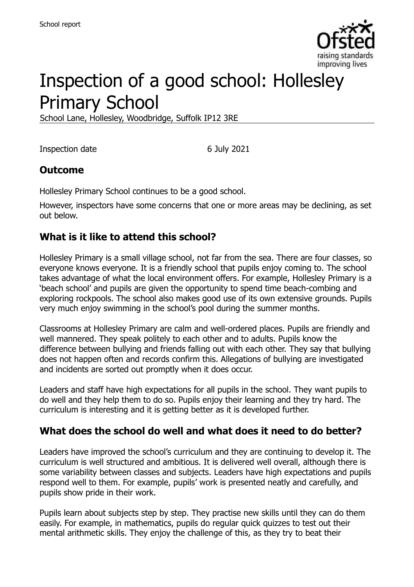

# Inspection of a good school: Hollesley Primary School

School Lane, Hollesley, Woodbridge, Suffolk IP12 3RE

Inspection date 6 July 2021

#### **Outcome**

Hollesley Primary School continues to be a good school.

However, inspectors have some concerns that one or more areas may be declining, as set out below.

### **What is it like to attend this school?**

Hollesley Primary is a small village school, not far from the sea. There are four classes, so everyone knows everyone. It is a friendly school that pupils enjoy coming to. The school takes advantage of what the local environment offers. For example, Hollesley Primary is a 'beach school' and pupils are given the opportunity to spend time beach-combing and exploring rockpools. The school also makes good use of its own extensive grounds. Pupils very much enjoy swimming in the school's pool during the summer months.

Classrooms at Hollesley Primary are calm and well-ordered places. Pupils are friendly and well mannered. They speak politely to each other and to adults. Pupils know the difference between bullying and friends falling out with each other. They say that bullying does not happen often and records confirm this. Allegations of bullying are investigated and incidents are sorted out promptly when it does occur.

Leaders and staff have high expectations for all pupils in the school. They want pupils to do well and they help them to do so. Pupils enjoy their learning and they try hard. The curriculum is interesting and it is getting better as it is developed further.

#### **What does the school do well and what does it need to do better?**

Leaders have improved the school's curriculum and they are continuing to develop it. The curriculum is well structured and ambitious. It is delivered well overall, although there is some variability between classes and subjects. Leaders have high expectations and pupils respond well to them. For example, pupils' work is presented neatly and carefully, and pupils show pride in their work.

Pupils learn about subjects step by step. They practise new skills until they can do them easily. For example, in mathematics, pupils do regular quick quizzes to test out their mental arithmetic skills. They enjoy the challenge of this, as they try to beat their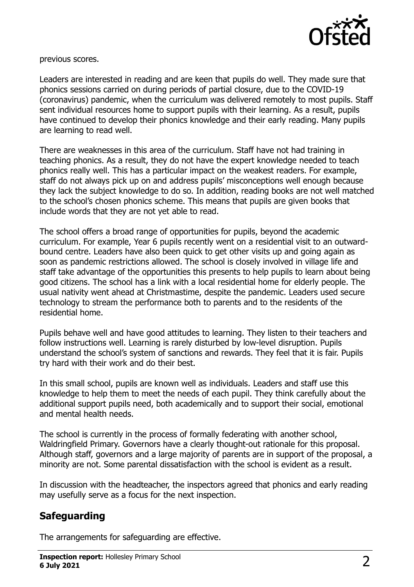

previous scores.

Leaders are interested in reading and are keen that pupils do well. They made sure that phonics sessions carried on during periods of partial closure, due to the COVID-19 (coronavirus) pandemic, when the curriculum was delivered remotely to most pupils. Staff sent individual resources home to support pupils with their learning. As a result, pupils have continued to develop their phonics knowledge and their early reading. Many pupils are learning to read well.

There are weaknesses in this area of the curriculum. Staff have not had training in teaching phonics. As a result, they do not have the expert knowledge needed to teach phonics really well. This has a particular impact on the weakest readers. For example, staff do not always pick up on and address pupils' misconceptions well enough because they lack the subject knowledge to do so. In addition, reading books are not well matched to the school's chosen phonics scheme. This means that pupils are given books that include words that they are not yet able to read.

The school offers a broad range of opportunities for pupils, beyond the academic curriculum. For example, Year 6 pupils recently went on a residential visit to an outwardbound centre. Leaders have also been quick to get other visits up and going again as soon as pandemic restrictions allowed. The school is closely involved in village life and staff take advantage of the opportunities this presents to help pupils to learn about being good citizens. The school has a link with a local residential home for elderly people. The usual nativity went ahead at Christmastime, despite the pandemic. Leaders used secure technology to stream the performance both to parents and to the residents of the residential home.

Pupils behave well and have good attitudes to learning. They listen to their teachers and follow instructions well. Learning is rarely disturbed by low-level disruption. Pupils understand the school's system of sanctions and rewards. They feel that it is fair. Pupils try hard with their work and do their best.

In this small school, pupils are known well as individuals. Leaders and staff use this knowledge to help them to meet the needs of each pupil. They think carefully about the additional support pupils need, both academically and to support their social, emotional and mental health needs.

The school is currently in the process of formally federating with another school, Waldringfield Primary. Governors have a clearly thought-out rationale for this proposal. Although staff, governors and a large majority of parents are in support of the proposal, a minority are not. Some parental dissatisfaction with the school is evident as a result.

In discussion with the headteacher, the inspectors agreed that phonics and early reading may usefully serve as a focus for the next inspection.

# **Safeguarding**

The arrangements for safeguarding are effective.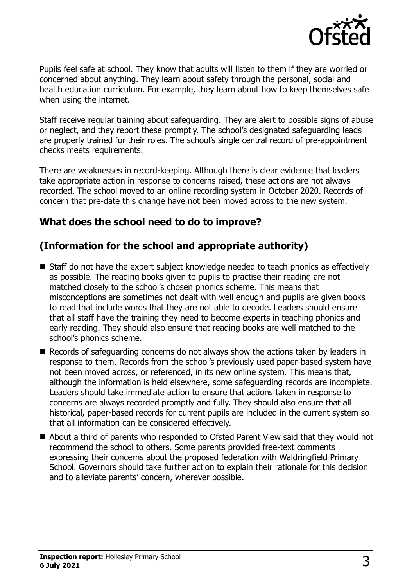

Pupils feel safe at school. They know that adults will listen to them if they are worried or concerned about anything. They learn about safety through the personal, social and health education curriculum. For example, they learn about how to keep themselves safe when using the internet.

Staff receive regular training about safeguarding. They are alert to possible signs of abuse or neglect, and they report these promptly. The school's designated safeguarding leads are properly trained for their roles. The school's single central record of pre-appointment checks meets requirements.

There are weaknesses in record-keeping. Although there is clear evidence that leaders take appropriate action in response to concerns raised, these actions are not always recorded. The school moved to an online recording system in October 2020. Records of concern that pre-date this change have not been moved across to the new system.

### **What does the school need to do to improve?**

# **(Information for the school and appropriate authority)**

- Staff do not have the expert subject knowledge needed to teach phonics as effectively as possible. The reading books given to pupils to practise their reading are not matched closely to the school's chosen phonics scheme. This means that misconceptions are sometimes not dealt with well enough and pupils are given books to read that include words that they are not able to decode. Leaders should ensure that all staff have the training they need to become experts in teaching phonics and early reading. They should also ensure that reading books are well matched to the school's phonics scheme.
- Records of safeguarding concerns do not always show the actions taken by leaders in response to them. Records from the school's previously used paper-based system have not been moved across, or referenced, in its new online system. This means that, although the information is held elsewhere, some safeguarding records are incomplete. Leaders should take immediate action to ensure that actions taken in response to concerns are always recorded promptly and fully. They should also ensure that all historical, paper-based records for current pupils are included in the current system so that all information can be considered effectively.
- About a third of parents who responded to Ofsted Parent View said that they would not recommend the school to others. Some parents provided free-text comments expressing their concerns about the proposed federation with Waldringfield Primary School. Governors should take further action to explain their rationale for this decision and to alleviate parents' concern, wherever possible.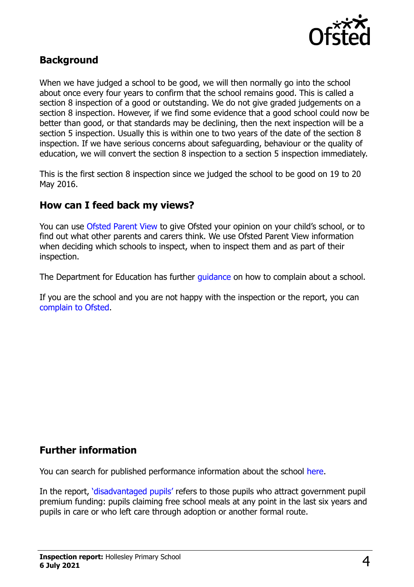

#### **Background**

When we have judged a school to be good, we will then normally go into the school about once every four years to confirm that the school remains good. This is called a section 8 inspection of a good or outstanding. We do not give graded judgements on a section 8 inspection. However, if we find some evidence that a good school could now be better than good, or that standards may be declining, then the next inspection will be a section 5 inspection. Usually this is within one to two years of the date of the section 8 inspection. If we have serious concerns about safeguarding, behaviour or the quality of education, we will convert the section 8 inspection to a section 5 inspection immediately.

This is the first section 8 inspection since we judged the school to be good on 19 to 20 May 2016.

#### **How can I feed back my views?**

You can use [Ofsted Parent View](https://parentview.ofsted.gov.uk/) to give Ofsted your opinion on your child's school, or to find out what other parents and carers think. We use Ofsted Parent View information when deciding which schools to inspect, when to inspect them and as part of their inspection.

The Department for Education has further [guidance](http://www.gov.uk/complain-about-school) on how to complain about a school.

If you are the school and you are not happy with the inspection or the report, you can [complain to Ofsted.](https://www.gov.uk/complain-ofsted-report)

#### **Further information**

You can search for published performance information about the school [here.](http://www.compare-school-performance.service.gov.uk/)

In the report, '[disadvantaged pupils](http://www.gov.uk/guidance/pupil-premium-information-for-schools-and-alternative-provision-settings)' refers to those pupils who attract government pupil premium funding: pupils claiming free school meals at any point in the last six years and pupils in care or who left care through adoption or another formal route.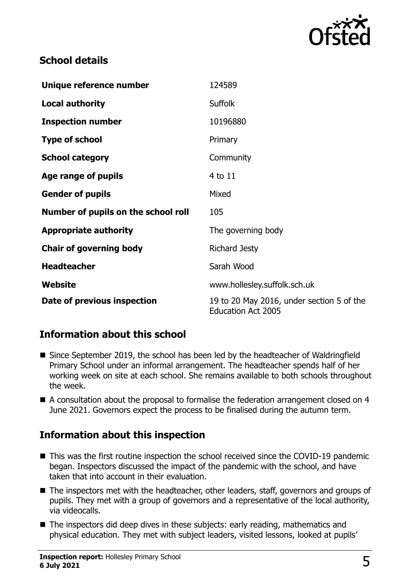

## **School details**

| Unique reference number             | 124589                                                                 |
|-------------------------------------|------------------------------------------------------------------------|
| <b>Local authority</b>              | <b>Suffolk</b>                                                         |
| <b>Inspection number</b>            | 10196880                                                               |
| <b>Type of school</b>               | Primary                                                                |
| <b>School category</b>              | Community                                                              |
| Age range of pupils                 | 4 to 11                                                                |
| <b>Gender of pupils</b>             | Mixed                                                                  |
| Number of pupils on the school roll | 105                                                                    |
| <b>Appropriate authority</b>        | The governing body                                                     |
| <b>Chair of governing body</b>      | <b>Richard Jesty</b>                                                   |
| <b>Headteacher</b>                  | Sarah Wood                                                             |
| <b>Website</b>                      | www.hollesley.suffolk.sch.uk                                           |
| Date of previous inspection         | 19 to 20 May 2016, under section 5 of the<br><b>Education Act 2005</b> |

# **Information about this school**

- Since September 2019, the school has been led by the headteacher of Waldringfield Primary School under an informal arrangement. The headteacher spends half of her working week on site at each school. She remains available to both schools throughout the week.
- A consultation about the proposal to formalise the federation arrangement closed on 4 June 2021. Governors expect the process to be finalised during the autumn term.

# **Information about this inspection**

- This was the first routine inspection the school received since the COVID-19 pandemic began. Inspectors discussed the impact of the pandemic with the school, and have taken that into account in their evaluation.
- The inspectors met with the headteacher, other leaders, staff, governors and groups of pupils. They met with a group of governors and a representative of the local authority, via videocalls.
- The inspectors did deep dives in these subjects: early reading, mathematics and physical education. They met with subject leaders, visited lessons, looked at pupils'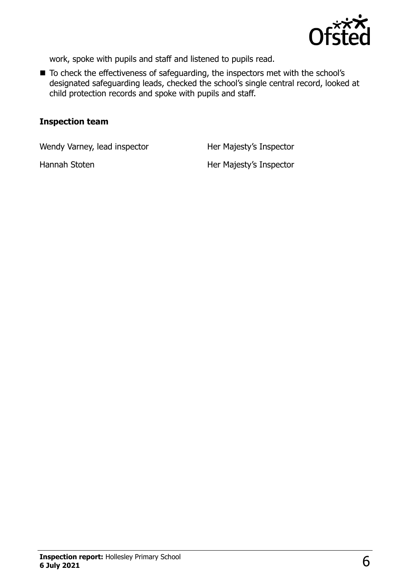

work, spoke with pupils and staff and listened to pupils read.

■ To check the effectiveness of safeguarding, the inspectors met with the school's designated safeguarding leads, checked the school's single central record, looked at child protection records and spoke with pupils and staff.

#### **Inspection team**

Wendy Varney, lead inspector **Her Majesty's Inspector** 

Hannah Stoten Her Majesty's Inspector